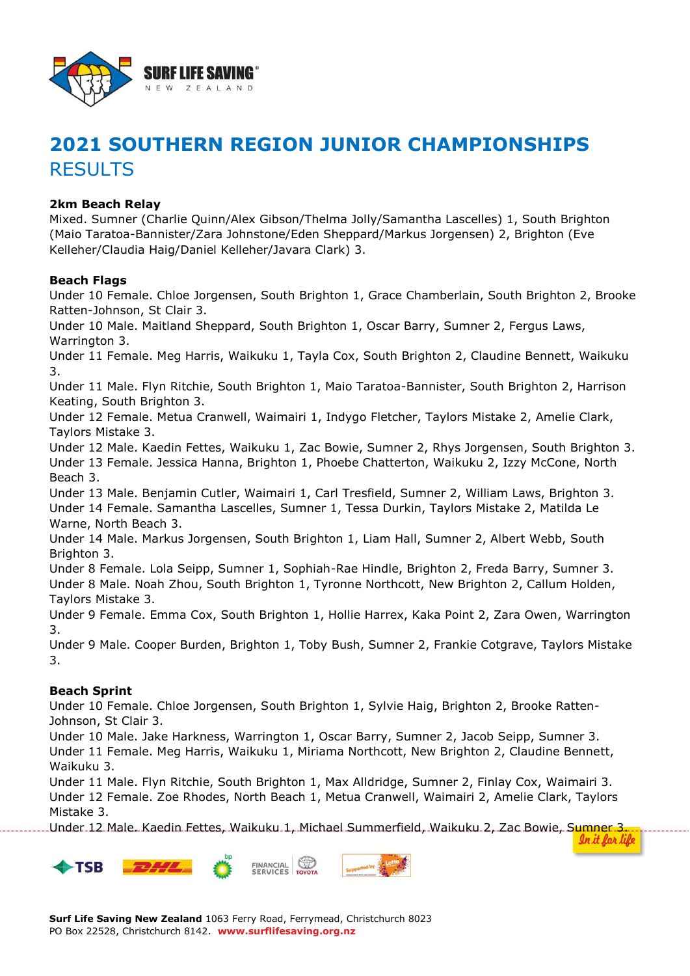

# **2021 SOUTHERN REGION JUNIOR CHAMPIONSHIPS** RESULTS

## **2km Beach Relay**

Mixed. Sumner (Charlie Quinn/Alex Gibson/Thelma Jolly/Samantha Lascelles) 1, South Brighton (Maio Taratoa-Bannister/Zara Johnstone/Eden Sheppard/Markus Jorgensen) 2, Brighton (Eve Kelleher/Claudia Haig/Daniel Kelleher/Javara Clark) 3.

#### **Beach Flags**

Under 10 Female. Chloe Jorgensen, South Brighton 1, Grace Chamberlain, South Brighton 2, Brooke Ratten-Johnson, St Clair 3.

Under 10 Male. Maitland Sheppard, South Brighton 1, Oscar Barry, Sumner 2, Fergus Laws, Warrington 3.

Under 11 Female. Meg Harris, Waikuku 1, Tayla Cox, South Brighton 2, Claudine Bennett, Waikuku 3.

Under 11 Male. Flyn Ritchie, South Brighton 1, Maio Taratoa-Bannister, South Brighton 2, Harrison Keating, South Brighton 3.

Under 12 Female. Metua Cranwell, Waimairi 1, Indygo Fletcher, Taylors Mistake 2, Amelie Clark, Taylors Mistake 3.

Under 12 Male. Kaedin Fettes, Waikuku 1, Zac Bowie, Sumner 2, Rhys Jorgensen, South Brighton 3. Under 13 Female. Jessica Hanna, Brighton 1, Phoebe Chatterton, Waikuku 2, Izzy McCone, North Beach 3.

Under 13 Male. Benjamin Cutler, Waimairi 1, Carl Tresfield, Sumner 2, William Laws, Brighton 3. Under 14 Female. Samantha Lascelles, Sumner 1, Tessa Durkin, Taylors Mistake 2, Matilda Le Warne, North Beach 3.

Under 14 Male. Markus Jorgensen, South Brighton 1, Liam Hall, Sumner 2, Albert Webb, South Brighton 3.

Under 8 Female. Lola Seipp, Sumner 1, Sophiah-Rae Hindle, Brighton 2, Freda Barry, Sumner 3. Under 8 Male. Noah Zhou, South Brighton 1, Tyronne Northcott, New Brighton 2, Callum Holden, Taylors Mistake 3.

Under 9 Female. Emma Cox, South Brighton 1, Hollie Harrex, Kaka Point 2, Zara Owen, Warrington 3.

Under 9 Male. Cooper Burden, Brighton 1, Toby Bush, Sumner 2, Frankie Cotgrave, Taylors Mistake 3.

#### **Beach Sprint**

Under 10 Female. Chloe Jorgensen, South Brighton 1, Sylvie Haig, Brighton 2, Brooke Ratten-Johnson, St Clair 3.

Under 10 Male. Jake Harkness, Warrington 1, Oscar Barry, Sumner 2, Jacob Seipp, Sumner 3. Under 11 Female. Meg Harris, Waikuku 1, Miriama Northcott, New Brighton 2, Claudine Bennett, Waikuku 3.

Under 11 Male. Flyn Ritchie, South Brighton 1, Max Alldridge, Sumner 2, Finlay Cox, Waimairi 3. Under 12 Female. Zoe Rhodes, North Beach 1, Metua Cranwell, Waimairi 2, Amelie Clark, Taylors Mistake 3.

Under 12 Male. Kaedin Fettes, Waikuku 1, Michael Summerfield, Waikuku 2, Zac Bowie, Sumner 3.

In it for life

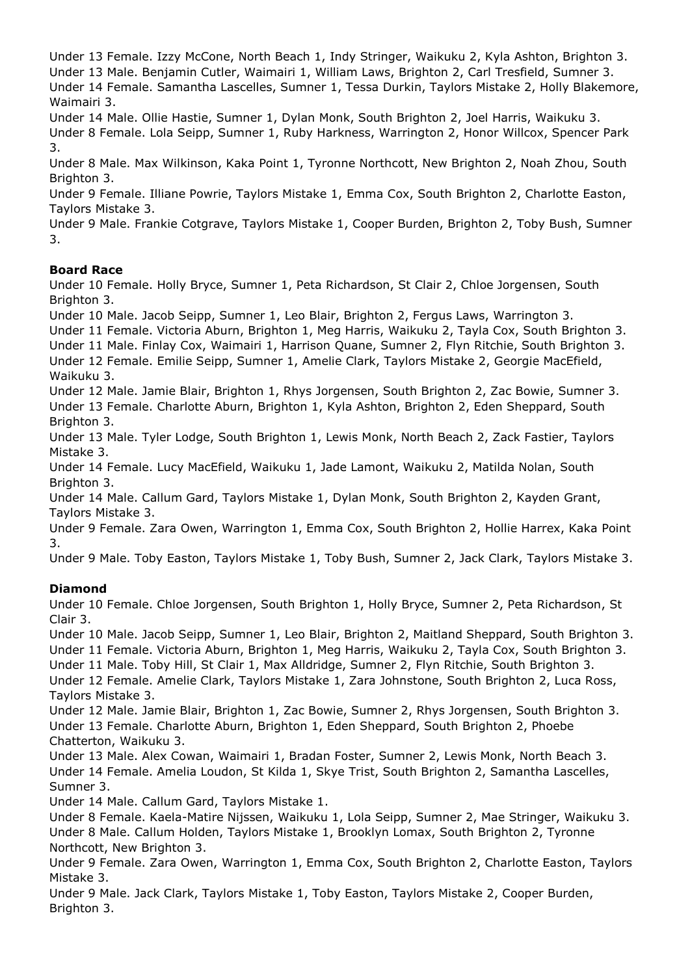Under 13 Female. Izzy McCone, North Beach 1, Indy Stringer, Waikuku 2, Kyla Ashton, Brighton 3. Under 13 Male. Benjamin Cutler, Waimairi 1, William Laws, Brighton 2, Carl Tresfield, Sumner 3. Under 14 Female. Samantha Lascelles, Sumner 1, Tessa Durkin, Taylors Mistake 2, Holly Blakemore, Waimairi 3.

Under 14 Male. Ollie Hastie, Sumner 1, Dylan Monk, South Brighton 2, Joel Harris, Waikuku 3. Under 8 Female. Lola Seipp, Sumner 1, Ruby Harkness, Warrington 2, Honor Willcox, Spencer Park 3.

Under 8 Male. Max Wilkinson, Kaka Point 1, Tyronne Northcott, New Brighton 2, Noah Zhou, South Brighton 3.

Under 9 Female. Illiane Powrie, Taylors Mistake 1, Emma Cox, South Brighton 2, Charlotte Easton, Taylors Mistake 3.

Under 9 Male. Frankie Cotgrave, Taylors Mistake 1, Cooper Burden, Brighton 2, Toby Bush, Sumner 3.

# **Board Race**

Under 10 Female. Holly Bryce, Sumner 1, Peta Richardson, St Clair 2, Chloe Jorgensen, South Brighton 3.

Under 10 Male. Jacob Seipp, Sumner 1, Leo Blair, Brighton 2, Fergus Laws, Warrington 3.

Under 11 Female. Victoria Aburn, Brighton 1, Meg Harris, Waikuku 2, Tayla Cox, South Brighton 3.

Under 11 Male. Finlay Cox, Waimairi 1, Harrison Quane, Sumner 2, Flyn Ritchie, South Brighton 3. Under 12 Female. Emilie Seipp, Sumner 1, Amelie Clark, Taylors Mistake 2, Georgie MacEfield,

Waikuku 3.

Under 12 Male. Jamie Blair, Brighton 1, Rhys Jorgensen, South Brighton 2, Zac Bowie, Sumner 3. Under 13 Female. Charlotte Aburn, Brighton 1, Kyla Ashton, Brighton 2, Eden Sheppard, South Brighton 3.

Under 13 Male. Tyler Lodge, South Brighton 1, Lewis Monk, North Beach 2, Zack Fastier, Taylors Mistake 3.

Under 14 Female. Lucy MacEfield, Waikuku 1, Jade Lamont, Waikuku 2, Matilda Nolan, South Brighton 3.

Under 14 Male. Callum Gard, Taylors Mistake 1, Dylan Monk, South Brighton 2, Kayden Grant, Taylors Mistake 3.

Under 9 Female. Zara Owen, Warrington 1, Emma Cox, South Brighton 2, Hollie Harrex, Kaka Point 3.

Under 9 Male. Toby Easton, Taylors Mistake 1, Toby Bush, Sumner 2, Jack Clark, Taylors Mistake 3.

# **Diamond**

Under 10 Female. Chloe Jorgensen, South Brighton 1, Holly Bryce, Sumner 2, Peta Richardson, St Clair 3.

Under 10 Male. Jacob Seipp, Sumner 1, Leo Blair, Brighton 2, Maitland Sheppard, South Brighton 3. Under 11 Female. Victoria Aburn, Brighton 1, Meg Harris, Waikuku 2, Tayla Cox, South Brighton 3.

Under 11 Male. Toby Hill, St Clair 1, Max Alldridge, Sumner 2, Flyn Ritchie, South Brighton 3.

Under 12 Female. Amelie Clark, Taylors Mistake 1, Zara Johnstone, South Brighton 2, Luca Ross, Taylors Mistake 3.

Under 12 Male. Jamie Blair, Brighton 1, Zac Bowie, Sumner 2, Rhys Jorgensen, South Brighton 3. Under 13 Female. Charlotte Aburn, Brighton 1, Eden Sheppard, South Brighton 2, Phoebe Chatterton, Waikuku 3.

Under 13 Male. Alex Cowan, Waimairi 1, Bradan Foster, Sumner 2, Lewis Monk, North Beach 3. Under 14 Female. Amelia Loudon, St Kilda 1, Skye Trist, South Brighton 2, Samantha Lascelles, Sumner 3.

Under 14 Male. Callum Gard, Taylors Mistake 1.

Under 8 Female. Kaela-Matire Nijssen, Waikuku 1, Lola Seipp, Sumner 2, Mae Stringer, Waikuku 3. Under 8 Male. Callum Holden, Taylors Mistake 1, Brooklyn Lomax, South Brighton 2, Tyronne Northcott, New Brighton 3.

Under 9 Female. Zara Owen, Warrington 1, Emma Cox, South Brighton 2, Charlotte Easton, Taylors Mistake 3.

Under 9 Male. Jack Clark, Taylors Mistake 1, Toby Easton, Taylors Mistake 2, Cooper Burden, Brighton 3.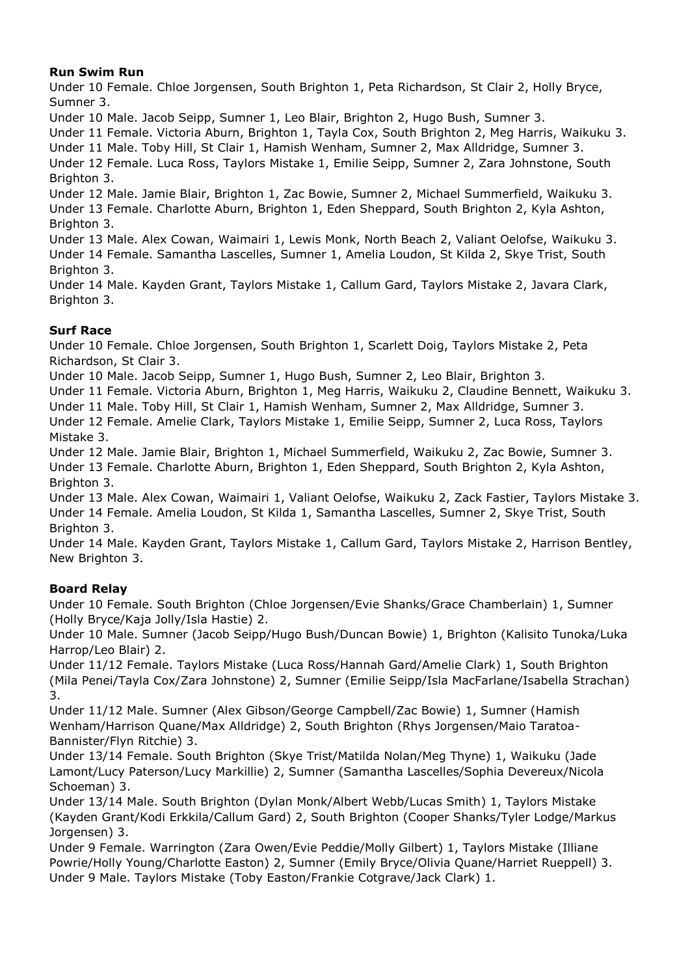## **Run Swim Run**

Under 10 Female. Chloe Jorgensen, South Brighton 1, Peta Richardson, St Clair 2, Holly Bryce, Sumner 3.

Under 10 Male. Jacob Seipp, Sumner 1, Leo Blair, Brighton 2, Hugo Bush, Sumner 3.

Under 11 Female. Victoria Aburn, Brighton 1, Tayla Cox, South Brighton 2, Meg Harris, Waikuku 3.

Under 11 Male. Toby Hill, St Clair 1, Hamish Wenham, Sumner 2, Max Alldridge, Sumner 3. Under 12 Female. Luca Ross, Taylors Mistake 1, Emilie Seipp, Sumner 2, Zara Johnstone, South Brighton 3.

Under 12 Male. Jamie Blair, Brighton 1, Zac Bowie, Sumner 2, Michael Summerfield, Waikuku 3. Under 13 Female. Charlotte Aburn, Brighton 1, Eden Sheppard, South Brighton 2, Kyla Ashton, Brighton 3.

Under 13 Male. Alex Cowan, Waimairi 1, Lewis Monk, North Beach 2, Valiant Oelofse, Waikuku 3. Under 14 Female. Samantha Lascelles, Sumner 1, Amelia Loudon, St Kilda 2, Skye Trist, South Brighton 3.

Under 14 Male. Kayden Grant, Taylors Mistake 1, Callum Gard, Taylors Mistake 2, Javara Clark, Brighton 3.

### **Surf Race**

Under 10 Female. Chloe Jorgensen, South Brighton 1, Scarlett Doig, Taylors Mistake 2, Peta Richardson, St Clair 3.

Under 10 Male. Jacob Seipp, Sumner 1, Hugo Bush, Sumner 2, Leo Blair, Brighton 3.

Under 11 Female. Victoria Aburn, Brighton 1, Meg Harris, Waikuku 2, Claudine Bennett, Waikuku 3.

Under 11 Male. Toby Hill, St Clair 1, Hamish Wenham, Sumner 2, Max Alldridge, Sumner 3.

Under 12 Female. Amelie Clark, Taylors Mistake 1, Emilie Seipp, Sumner 2, Luca Ross, Taylors Mistake 3.

Under 12 Male. Jamie Blair, Brighton 1, Michael Summerfield, Waikuku 2, Zac Bowie, Sumner 3. Under 13 Female. Charlotte Aburn, Brighton 1, Eden Sheppard, South Brighton 2, Kyla Ashton, Brighton 3.

Under 13 Male. Alex Cowan, Waimairi 1, Valiant Oelofse, Waikuku 2, Zack Fastier, Taylors Mistake 3. Under 14 Female. Amelia Loudon, St Kilda 1, Samantha Lascelles, Sumner 2, Skye Trist, South Brighton 3.

Under 14 Male. Kayden Grant, Taylors Mistake 1, Callum Gard, Taylors Mistake 2, Harrison Bentley, New Brighton 3.

# **Board Relay**

Under 10 Female. South Brighton (Chloe Jorgensen/Evie Shanks/Grace Chamberlain) 1, Sumner (Holly Bryce/Kaja Jolly/Isla Hastie) 2.

Under 10 Male. Sumner (Jacob Seipp/Hugo Bush/Duncan Bowie) 1, Brighton (Kalisito Tunoka/Luka Harrop/Leo Blair) 2.

Under 11/12 Female. Taylors Mistake (Luca Ross/Hannah Gard/Amelie Clark) 1, South Brighton (Mila Penei/Tayla Cox/Zara Johnstone) 2, Sumner (Emilie Seipp/Isla MacFarlane/Isabella Strachan) 3.

Under 11/12 Male. Sumner (Alex Gibson/George Campbell/Zac Bowie) 1, Sumner (Hamish Wenham/Harrison Quane/Max Alldridge) 2, South Brighton (Rhys Jorgensen/Maio Taratoa-Bannister/Flyn Ritchie) 3.

Under 13/14 Female. South Brighton (Skye Trist/Matilda Nolan/Meg Thyne) 1, Waikuku (Jade Lamont/Lucy Paterson/Lucy Markillie) 2, Sumner (Samantha Lascelles/Sophia Devereux/Nicola Schoeman) 3.

Under 13/14 Male. South Brighton (Dylan Monk/Albert Webb/Lucas Smith) 1, Taylors Mistake (Kayden Grant/Kodi Erkkila/Callum Gard) 2, South Brighton (Cooper Shanks/Tyler Lodge/Markus Jorgensen) 3.

Under 9 Female. Warrington (Zara Owen/Evie Peddie/Molly Gilbert) 1, Taylors Mistake (Illiane Powrie/Holly Young/Charlotte Easton) 2, Sumner (Emily Bryce/Olivia Quane/Harriet Rueppell) 3. Under 9 Male. Taylors Mistake (Toby Easton/Frankie Cotgrave/Jack Clark) 1.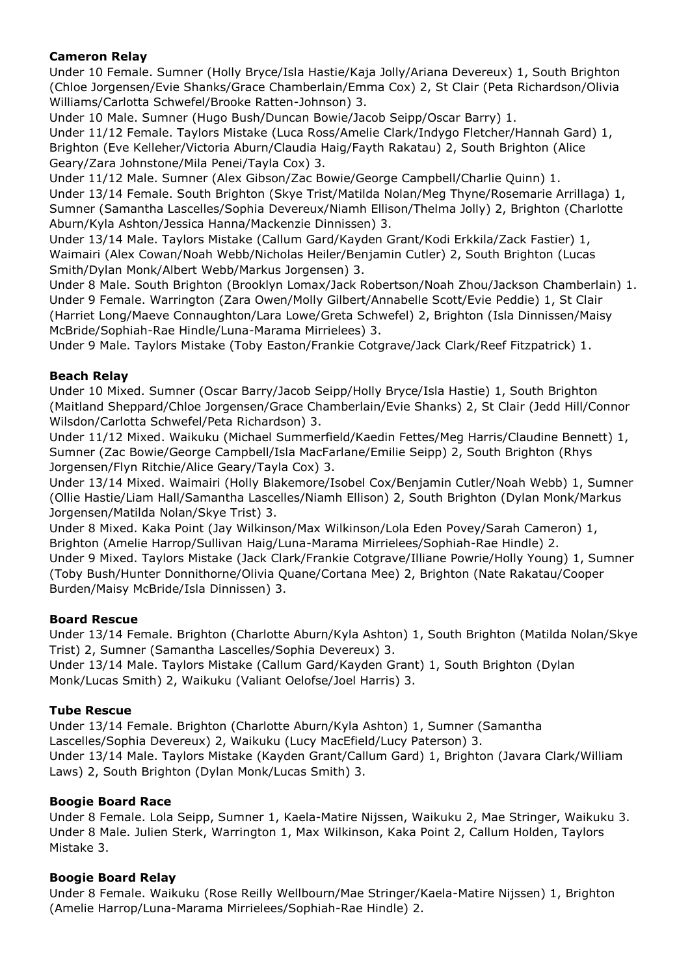## **Cameron Relay**

Under 10 Female. Sumner (Holly Bryce/Isla Hastie/Kaja Jolly/Ariana Devereux) 1, South Brighton (Chloe Jorgensen/Evie Shanks/Grace Chamberlain/Emma Cox) 2, St Clair (Peta Richardson/Olivia Williams/Carlotta Schwefel/Brooke Ratten-Johnson) 3.

Under 10 Male. Sumner (Hugo Bush/Duncan Bowie/Jacob Seipp/Oscar Barry) 1.

Under 11/12 Female. Taylors Mistake (Luca Ross/Amelie Clark/Indygo Fletcher/Hannah Gard) 1, Brighton (Eve Kelleher/Victoria Aburn/Claudia Haig/Fayth Rakatau) 2, South Brighton (Alice Geary/Zara Johnstone/Mila Penei/Tayla Cox) 3.

Under 11/12 Male. Sumner (Alex Gibson/Zac Bowie/George Campbell/Charlie Quinn) 1. Under 13/14 Female. South Brighton (Skye Trist/Matilda Nolan/Meg Thyne/Rosemarie Arrillaga) 1, Sumner (Samantha Lascelles/Sophia Devereux/Niamh Ellison/Thelma Jolly) 2, Brighton (Charlotte Aburn/Kyla Ashton/Jessica Hanna/Mackenzie Dinnissen) 3.

Under 13/14 Male. Taylors Mistake (Callum Gard/Kayden Grant/Kodi Erkkila/Zack Fastier) 1, Waimairi (Alex Cowan/Noah Webb/Nicholas Heiler/Benjamin Cutler) 2, South Brighton (Lucas Smith/Dylan Monk/Albert Webb/Markus Jorgensen) 3.

Under 8 Male. South Brighton (Brooklyn Lomax/Jack Robertson/Noah Zhou/Jackson Chamberlain) 1. Under 9 Female. Warrington (Zara Owen/Molly Gilbert/Annabelle Scott/Evie Peddie) 1, St Clair (Harriet Long/Maeve Connaughton/Lara Lowe/Greta Schwefel) 2, Brighton (Isla Dinnissen/Maisy McBride/Sophiah-Rae Hindle/Luna-Marama Mirrielees) 3.

Under 9 Male. Taylors Mistake (Toby Easton/Frankie Cotgrave/Jack Clark/Reef Fitzpatrick) 1.

### **Beach Relay**

Under 10 Mixed. Sumner (Oscar Barry/Jacob Seipp/Holly Bryce/Isla Hastie) 1, South Brighton (Maitland Sheppard/Chloe Jorgensen/Grace Chamberlain/Evie Shanks) 2, St Clair (Jedd Hill/Connor Wilsdon/Carlotta Schwefel/Peta Richardson) 3.

Under 11/12 Mixed. Waikuku (Michael Summerfield/Kaedin Fettes/Meg Harris/Claudine Bennett) 1, Sumner (Zac Bowie/George Campbell/Isla MacFarlane/Emilie Seipp) 2, South Brighton (Rhys Jorgensen/Flyn Ritchie/Alice Geary/Tayla Cox) 3.

Under 13/14 Mixed. Waimairi (Holly Blakemore/Isobel Cox/Benjamin Cutler/Noah Webb) 1, Sumner (Ollie Hastie/Liam Hall/Samantha Lascelles/Niamh Ellison) 2, South Brighton (Dylan Monk/Markus Jorgensen/Matilda Nolan/Skye Trist) 3.

Under 8 Mixed. Kaka Point (Jay Wilkinson/Max Wilkinson/Lola Eden Povey/Sarah Cameron) 1, Brighton (Amelie Harrop/Sullivan Haig/Luna-Marama Mirrielees/Sophiah-Rae Hindle) 2. Under 9 Mixed. Taylors Mistake (Jack Clark/Frankie Cotgrave/Illiane Powrie/Holly Young) 1, Sumner (Toby Bush/Hunter Donnithorne/Olivia Quane/Cortana Mee) 2, Brighton (Nate Rakatau/Cooper Burden/Maisy McBride/Isla Dinnissen) 3.

#### **Board Rescue**

Under 13/14 Female. Brighton (Charlotte Aburn/Kyla Ashton) 1, South Brighton (Matilda Nolan/Skye Trist) 2, Sumner (Samantha Lascelles/Sophia Devereux) 3.

Under 13/14 Male. Taylors Mistake (Callum Gard/Kayden Grant) 1, South Brighton (Dylan Monk/Lucas Smith) 2, Waikuku (Valiant Oelofse/Joel Harris) 3.

#### **Tube Rescue**

Under 13/14 Female. Brighton (Charlotte Aburn/Kyla Ashton) 1, Sumner (Samantha Lascelles/Sophia Devereux) 2, Waikuku (Lucy MacEfield/Lucy Paterson) 3. Under 13/14 Male. Taylors Mistake (Kayden Grant/Callum Gard) 1, Brighton (Javara Clark/William Laws) 2, South Brighton (Dylan Monk/Lucas Smith) 3.

#### **Boogie Board Race**

Under 8 Female. Lola Seipp, Sumner 1, Kaela-Matire Nijssen, Waikuku 2, Mae Stringer, Waikuku 3. Under 8 Male. Julien Sterk, Warrington 1, Max Wilkinson, Kaka Point 2, Callum Holden, Taylors Mistake 3.

# **Boogie Board Relay**

Under 8 Female. Waikuku (Rose Reilly Wellbourn/Mae Stringer/Kaela-Matire Nijssen) 1, Brighton (Amelie Harrop/Luna-Marama Mirrielees/Sophiah-Rae Hindle) 2.